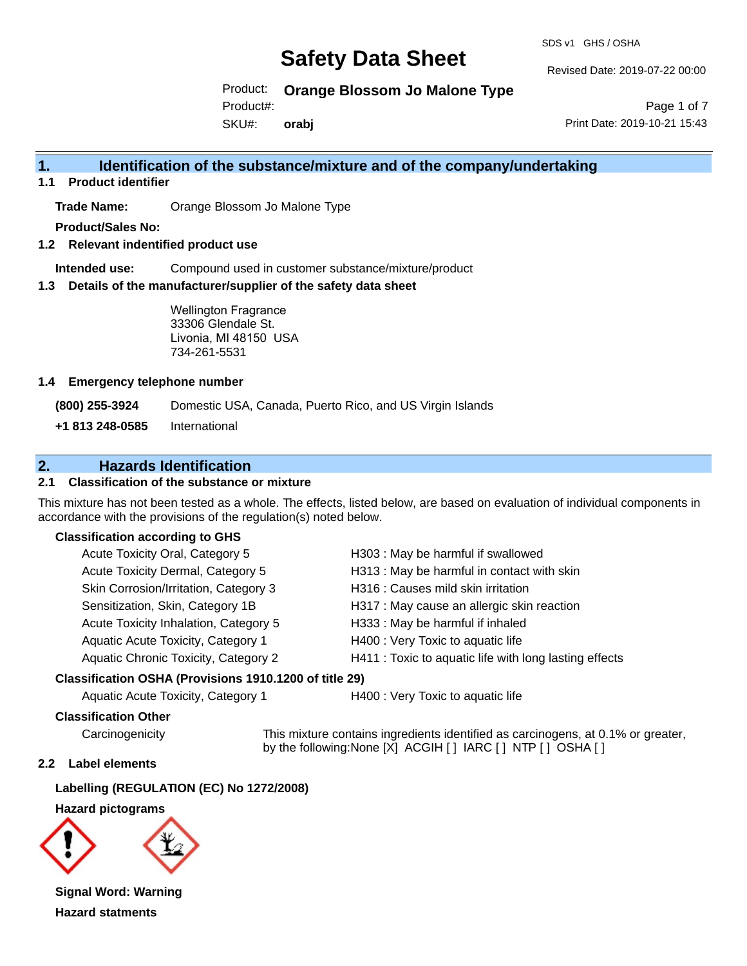SDS v1 GHS / OSHA

Revised Date: 2019-07-22 00:00

Product: **Orange Blossom Jo Malone Type**

Product#:

SKU#: **orabj**

Page 1 of 7 Print Date: 2019-10-21 15:43

# **1. Identification of the substance/mixture and of the company/undertaking**

**1.1 Product identifier**

**Trade Name:** Orange Blossom Jo Malone Type

**Product/Sales No:**

**1.2 Relevant indentified product use**

**Intended use:** Compound used in customer substance/mixture/product

**1.3 Details of the manufacturer/supplier of the safety data sheet**

Wellington Fragrance 33306 Glendale St. Livonia, MI 48150 USA 734-261-5531

#### **1.4 Emergency telephone number**

**(800) 255-3924** Domestic USA, Canada, Puerto Rico, and US Virgin Islands

**+1 813 248-0585** International

# **2. Hazards Identification**

### **2.1 Classification of the substance or mixture**

This mixture has not been tested as a whole. The effects, listed below, are based on evaluation of individual components in accordance with the provisions of the regulation(s) noted below.

#### **Classification according to GHS**

| Acute Toxicity Oral, Category 5       | H303: May be harmful if swallowed                      |
|---------------------------------------|--------------------------------------------------------|
| Acute Toxicity Dermal, Category 5     | H313 : May be harmful in contact with skin             |
| Skin Corrosion/Irritation, Category 3 | H316 : Causes mild skin irritation                     |
| Sensitization, Skin, Category 1B      | H317 : May cause an allergic skin reaction             |
| Acute Toxicity Inhalation, Category 5 | H333: May be harmful if inhaled                        |
| Aquatic Acute Toxicity, Category 1    | H400 : Very Toxic to aquatic life                      |
| Aquatic Chronic Toxicity, Category 2  | H411 : Toxic to aquatic life with long lasting effects |
|                                       |                                                        |

#### **Classification OSHA (Provisions 1910.1200 of title 29)**

Aquatic Acute Toxicity, Category 1 H400 : Very Toxic to aquatic life

#### **Classification Other**

Carcinogenicity This mixture contains ingredients identified as carcinogens, at 0.1% or greater, by the following:None [X] ACGIH [ ] IARC [ ] NTP [ ] OSHA [ ]

#### **2.2 Label elements**

**Labelling (REGULATION (EC) No 1272/2008)**

**Hazard pictograms**



**Signal Word: Warning Hazard statments**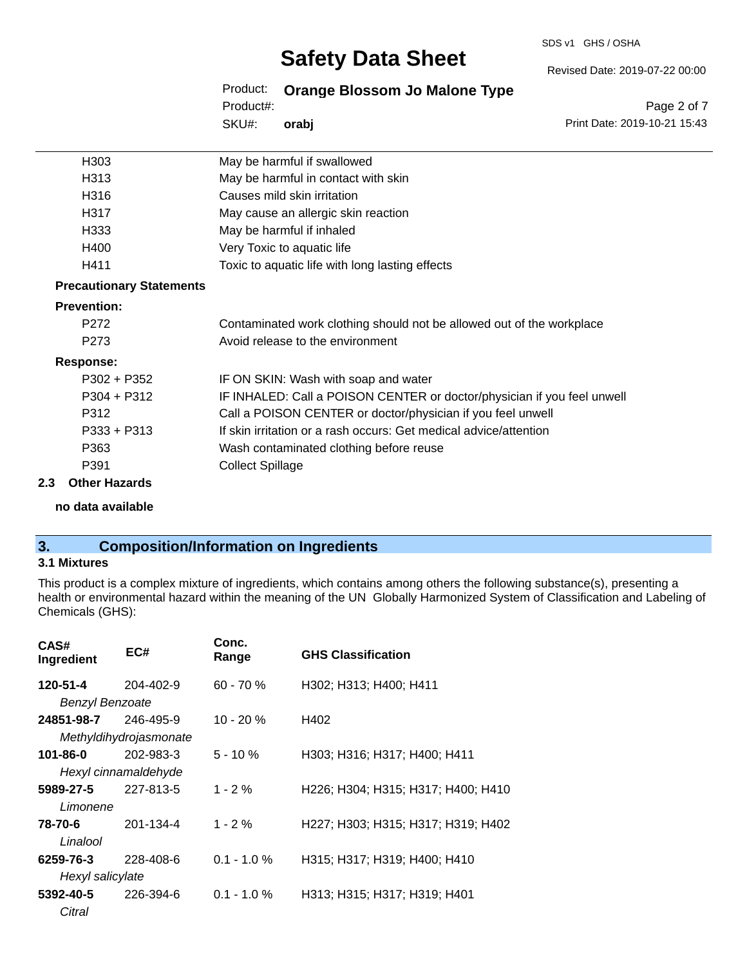#### SDS v1 GHS / OSHA

# **Safety Data Sheet**

Product: **Orange Blossom Jo Malone Type**

SKU#: Product#: **orabj**

Page 2 of 7 Print Date: 2019-10-21 15:43

Revised Date: 2019-07-22 00:00

| H <sub>303</sub>                | May be harmful if swallowed                                             |
|---------------------------------|-------------------------------------------------------------------------|
| H313                            | May be harmful in contact with skin                                     |
| H316                            | Causes mild skin irritation                                             |
| H317                            | May cause an allergic skin reaction                                     |
| H333                            | May be harmful if inhaled                                               |
| H400                            | Very Toxic to aquatic life                                              |
| H411                            | Toxic to aquatic life with long lasting effects                         |
| <b>Precautionary Statements</b> |                                                                         |
| <b>Prevention:</b>              |                                                                         |
| P272                            | Contaminated work clothing should not be allowed out of the workplace   |
| P273                            | Avoid release to the environment                                        |
| <b>Response:</b>                |                                                                         |
| $P302 + P352$                   | IF ON SKIN: Wash with soap and water                                    |
| $P304 + P312$                   | IF INHALED: Call a POISON CENTER or doctor/physician if you feel unwell |
| P312                            | Call a POISON CENTER or doctor/physician if you feel unwell             |
| P333 + P313                     | If skin irritation or a rash occurs: Get medical advice/attention       |
| P363                            | Wash contaminated clothing before reuse                                 |
| P391                            | <b>Collect Spillage</b>                                                 |
| <b>Other Hazards</b><br>2.3     |                                                                         |

**no data available**

# **3. Composition/Information on Ingredients**

#### **3.1 Mixtures**

This product is a complex mixture of ingredients, which contains among others the following substance(s), presenting a health or environmental hazard within the meaning of the UN Globally Harmonized System of Classification and Labeling of Chemicals (GHS):

| CAS#<br>Ingredient     | EC#                    | Conc.<br>Range | <b>GHS Classification</b>          |
|------------------------|------------------------|----------------|------------------------------------|
| 120-51-4               | 204-402-9              | $60 - 70 \%$   | H302; H313; H400; H411             |
| <b>Benzyl Benzoate</b> |                        |                |                                    |
| 24851-98-7             | 246-495-9              | $10 - 20%$     | H402                               |
|                        | Methyldihydrojasmonate |                |                                    |
| 101-86-0               | 202-983-3              | $5 - 10 \%$    | H303; H316; H317; H400; H411       |
|                        | Hexyl cinnamaldehyde   |                |                                    |
| 5989-27-5              | 227-813-5              | $1 - 2 \%$     | H226; H304; H315; H317; H400; H410 |
| Limonene               |                        |                |                                    |
| 78-70-6                | 201-134-4              | $1 - 2 \%$     | H227; H303; H315; H317; H319; H402 |
| Linalool               |                        |                |                                    |
| 6259-76-3              | 228-408-6              | $0.1 - 1.0 \%$ | H315; H317; H319; H400; H410       |
| Hexyl salicylate       |                        |                |                                    |
| 5392-40-5              | 226-394-6              | $0.1 - 1.0 \%$ | H313; H315; H317; H319; H401       |
| Citral                 |                        |                |                                    |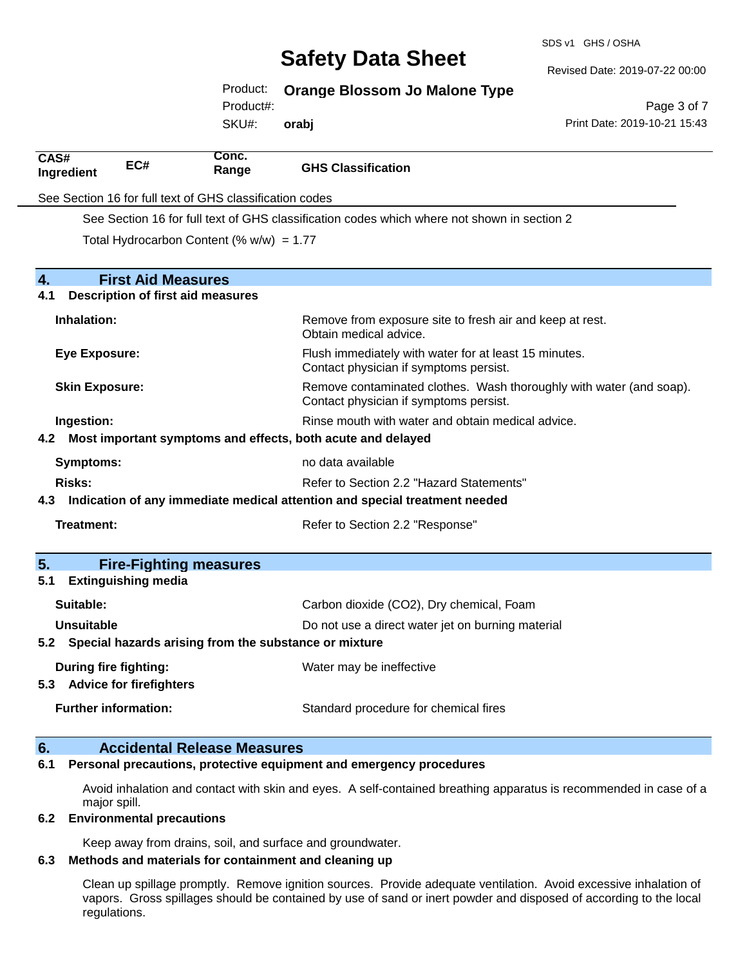SDS v1 GHS / OSHA

Revised Date: 2019-07-22 00:00

Product: **Orange Blossom Jo Malone Type**

Product#:

SKU#: **orabj**

Page 3 of 7 Print Date: 2019-10-21 15:43

| CAS#<br>Ingredient                                                                | EC#                                                     | Conc.<br>Range                                              | <b>GHS Classification</b>                                                                                     |
|-----------------------------------------------------------------------------------|---------------------------------------------------------|-------------------------------------------------------------|---------------------------------------------------------------------------------------------------------------|
|                                                                                   |                                                         | See Section 16 for full text of GHS classification codes    |                                                                                                               |
|                                                                                   |                                                         |                                                             | See Section 16 for full text of GHS classification codes which where not shown in section 2                   |
|                                                                                   |                                                         | Total Hydrocarbon Content (% $w/w$ ) = 1.77                 |                                                                                                               |
|                                                                                   |                                                         |                                                             |                                                                                                               |
| $\overline{4}$ .                                                                  |                                                         | <b>First Aid Measures</b>                                   |                                                                                                               |
| 4.1                                                                               |                                                         | <b>Description of first aid measures</b>                    |                                                                                                               |
|                                                                                   | Inhalation:                                             |                                                             | Remove from exposure site to fresh air and keep at rest.<br>Obtain medical advice.                            |
|                                                                                   | <b>Eye Exposure:</b>                                    |                                                             | Flush immediately with water for at least 15 minutes.<br>Contact physician if symptoms persist.               |
|                                                                                   | <b>Skin Exposure:</b>                                   |                                                             | Remove contaminated clothes. Wash thoroughly with water (and soap).<br>Contact physician if symptoms persist. |
|                                                                                   | Ingestion:                                              |                                                             | Rinse mouth with water and obtain medical advice.                                                             |
| 4.2                                                                               |                                                         | Most important symptoms and effects, both acute and delayed |                                                                                                               |
|                                                                                   | <b>Symptoms:</b>                                        |                                                             | no data available                                                                                             |
| <b>Risks:</b>                                                                     |                                                         | Refer to Section 2.2 "Hazard Statements"                    |                                                                                                               |
| Indication of any immediate medical attention and special treatment needed<br>4.3 |                                                         |                                                             |                                                                                                               |
|                                                                                   | Treatment:                                              |                                                             | Refer to Section 2.2 "Response"                                                                               |
| 5.                                                                                |                                                         | <b>Fire-Fighting measures</b>                               |                                                                                                               |
| 5.1                                                                               | <b>Extinguishing media</b>                              |                                                             |                                                                                                               |
|                                                                                   | Suitable:                                               |                                                             | Carbon dioxide (CO2), Dry chemical, Foam                                                                      |
|                                                                                   | Unsuitable                                              |                                                             | Do not use a direct water jet on burning material                                                             |
|                                                                                   |                                                         | 5.2 Special hazards arising from the substance or mixture   |                                                                                                               |
| 5.3                                                                               | During fire fighting:<br><b>Advice for firefighters</b> |                                                             | Water may be ineffective                                                                                      |
|                                                                                   | <b>Further information:</b>                             |                                                             | Standard procedure for chemical fires                                                                         |
| 6.                                                                                |                                                         | <b>Accidental Release Measures</b>                          |                                                                                                               |

#### **6.1 Personal precautions, protective equipment and emergency procedures**

Avoid inhalation and contact with skin and eyes. A self-contained breathing apparatus is recommended in case of a major spill.

#### **6.2 Environmental precautions**

Keep away from drains, soil, and surface and groundwater.

#### **6.3 Methods and materials for containment and cleaning up**

Clean up spillage promptly. Remove ignition sources. Provide adequate ventilation. Avoid excessive inhalation of vapors. Gross spillages should be contained by use of sand or inert powder and disposed of according to the local regulations.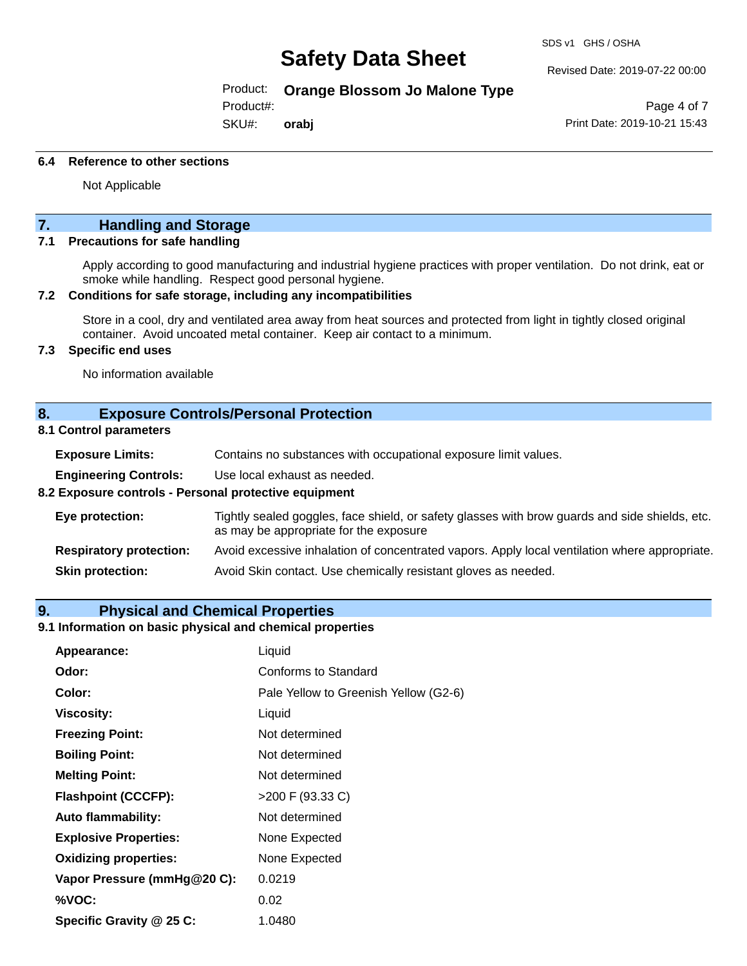#### Revised Date: 2019-07-22 00:00

Product: **Orange Blossom Jo Malone Type**

Product#:

SKU#: **orabj**

Page 4 of 7 Print Date: 2019-10-21 15:43

#### **6.4 Reference to other sections**

Not Applicable

### **7. Handling and Storage**

#### **7.1 Precautions for safe handling**

Apply according to good manufacturing and industrial hygiene practices with proper ventilation. Do not drink, eat or smoke while handling. Respect good personal hygiene.

#### **7.2 Conditions for safe storage, including any incompatibilities**

Store in a cool, dry and ventilated area away from heat sources and protected from light in tightly closed original container. Avoid uncoated metal container. Keep air contact to a minimum.

#### **7.3 Specific end uses**

No information available

#### **8. Exposure Controls/Personal Protection**

#### **8.1 Control parameters**

| <b>Exposure Limits:</b> |  | Contains no substances with occupational exposure limit values. |
|-------------------------|--|-----------------------------------------------------------------|
|-------------------------|--|-----------------------------------------------------------------|

**Engineering Controls:** Use local exhaust as needed.

#### **8.2 Exposure controls - Personal protective equipment**

| Eye protection:                | Tightly sealed goggles, face shield, or safety glasses with brow guards and side shields, etc.<br>as may be appropriate for the exposure |
|--------------------------------|------------------------------------------------------------------------------------------------------------------------------------------|
| <b>Respiratory protection:</b> | Avoid excessive inhalation of concentrated vapors. Apply local ventilation where appropriate.                                            |
| <b>Skin protection:</b>        | Avoid Skin contact. Use chemically resistant gloves as needed.                                                                           |

#### **9. Physical and Chemical Properties**

#### **9.1 Information on basic physical and chemical properties**

| Appearance:                  | Liquid                                |
|------------------------------|---------------------------------------|
| Odor:                        | Conforms to Standard                  |
| Color:                       | Pale Yellow to Greenish Yellow (G2-6) |
| <b>Viscosity:</b>            | Liquid                                |
| <b>Freezing Point:</b>       | Not determined                        |
| <b>Boiling Point:</b>        | Not determined                        |
| <b>Melting Point:</b>        | Not determined                        |
| <b>Flashpoint (CCCFP):</b>   | >200 F (93.33 C)                      |
| <b>Auto flammability:</b>    | Not determined                        |
| <b>Explosive Properties:</b> | None Expected                         |
| <b>Oxidizing properties:</b> | None Expected                         |
| Vapor Pressure (mmHg@20 C):  | 0.0219                                |
| %VOC:                        | 0.02                                  |
| Specific Gravity @ 25 C:     | 1.0480                                |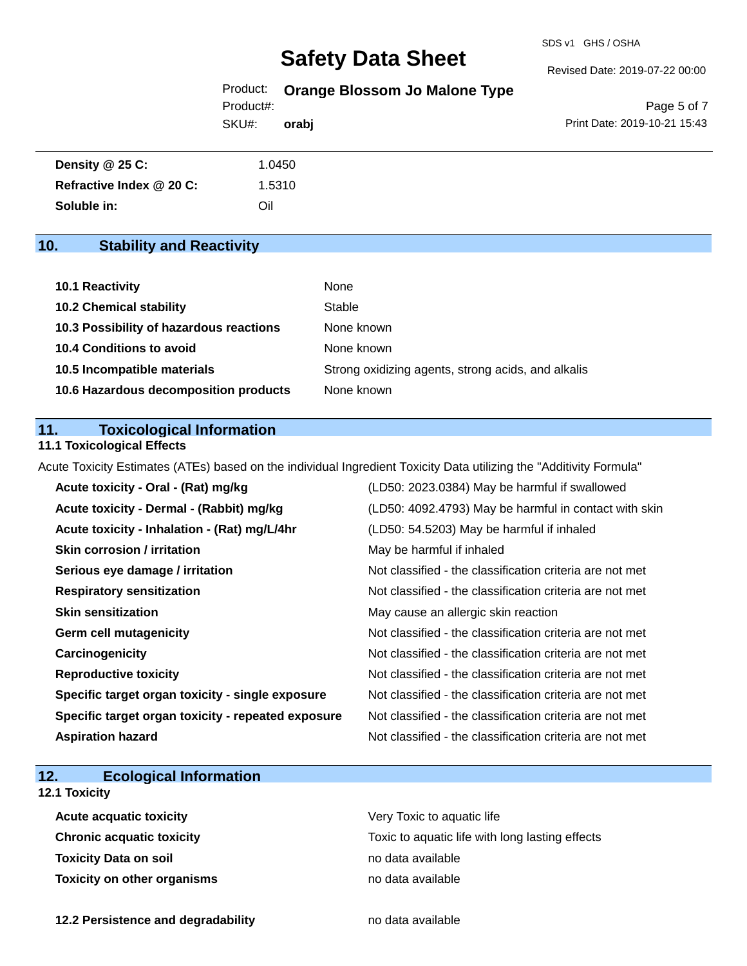SDS v1 GHS / OSHA

Revised Date: 2019-07-22 00:00

Product: **Orange Blossom Jo Malone Type**

Product#:

SKU#: **orabj**

Page 5 of 7 Print Date: 2019-10-21 15:43

| Density @ 25 C:          | 1.0450 |
|--------------------------|--------|
| Refractive Index @ 20 C: | 1.5310 |
| Soluble in:              | Oil    |

# **10. Stability and Reactivity**

| 10.1 Reactivity                         | None                                               |
|-----------------------------------------|----------------------------------------------------|
| <b>10.2 Chemical stability</b>          | Stable                                             |
| 10.3 Possibility of hazardous reactions | None known                                         |
| <b>10.4 Conditions to avoid</b>         | None known                                         |
| 10.5 Incompatible materials             | Strong oxidizing agents, strong acids, and alkalis |
| 10.6 Hazardous decomposition products   | None known                                         |

### **11. Toxicological Information**

#### **11.1 Toxicological Effects**

Acute Toxicity Estimates (ATEs) based on the individual Ingredient Toxicity Data utilizing the "Additivity Formula"

| Acute toxicity - Oral - (Rat) mg/kg                | (LD50: 2023.0384) May be harmful if swallowed            |
|----------------------------------------------------|----------------------------------------------------------|
| Acute toxicity - Dermal - (Rabbit) mg/kg           | (LD50: 4092.4793) May be harmful in contact with skin    |
| Acute toxicity - Inhalation - (Rat) mg/L/4hr       | (LD50: 54.5203) May be harmful if inhaled                |
| <b>Skin corrosion / irritation</b>                 | May be harmful if inhaled                                |
| Serious eye damage / irritation                    | Not classified - the classification criteria are not met |
| <b>Respiratory sensitization</b>                   | Not classified - the classification criteria are not met |
| <b>Skin sensitization</b>                          | May cause an allergic skin reaction                      |
| <b>Germ cell mutagenicity</b>                      | Not classified - the classification criteria are not met |
| Carcinogenicity                                    | Not classified - the classification criteria are not met |
| <b>Reproductive toxicity</b>                       | Not classified - the classification criteria are not met |
| Specific target organ toxicity - single exposure   | Not classified - the classification criteria are not met |
| Specific target organ toxicity - repeated exposure | Not classified - the classification criteria are not met |
| <b>Aspiration hazard</b>                           | Not classified - the classification criteria are not met |

# **12. Ecological Information**

## **12.1 Toxicity**

| <b>Acute acquatic toxicity</b> | Very Toxic to aquatic life                      |
|--------------------------------|-------------------------------------------------|
| Chronic acquatic toxicity      | Toxic to aquatic life with long lasting effects |
| Toxicity Data on soil          | no data available                               |
| Toxicity on other organisms    | no data available                               |

**12.2 Persistence and degradability no data available**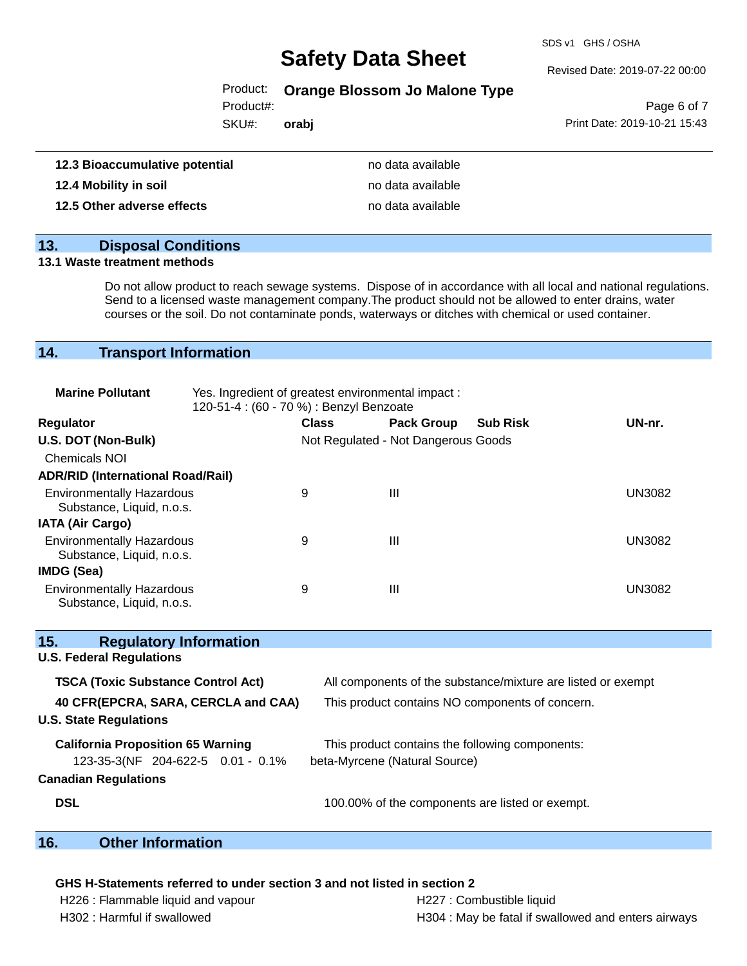SDS v1 GHS / OSHA

#### Revised Date: 2019-07-22 00:00

### Product: **Orange Blossom Jo Malone Type**

Product#:

SKU#: **orabj**

Page 6 of 7 Print Date: 2019-10-21 15:43

| 12.3 Bioaccumulative potential | no data available |
|--------------------------------|-------------------|
| 12.4 Mobility in soil          | no data available |
| 12.5 Other adverse effects     | no data available |

### **13. Disposal Conditions**

#### **13.1 Waste treatment methods**

Do not allow product to reach sewage systems. Dispose of in accordance with all local and national regulations. Send to a licensed waste management company.The product should not be allowed to enter drains, water courses or the soil. Do not contaminate ponds, waterways or ditches with chemical or used container.

### **14. Transport Information**

| <b>Marine Pollutant</b>                                       | Yes. Ingredient of greatest environmental impact :<br>120-51-4 : (60 - 70 %) : Benzyl Benzoate |              |                                     |                 |               |
|---------------------------------------------------------------|------------------------------------------------------------------------------------------------|--------------|-------------------------------------|-----------------|---------------|
| <b>Regulator</b>                                              |                                                                                                | <b>Class</b> | <b>Pack Group</b>                   | <b>Sub Risk</b> | UN-nr.        |
| U.S. DOT (Non-Bulk)                                           |                                                                                                |              | Not Regulated - Not Dangerous Goods |                 |               |
| <b>Chemicals NOI</b>                                          |                                                                                                |              |                                     |                 |               |
| <b>ADR/RID (International Road/Rail)</b>                      |                                                                                                |              |                                     |                 |               |
| <b>Environmentally Hazardous</b><br>Substance, Liquid, n.o.s. |                                                                                                | 9            | Ш                                   |                 | UN3082        |
| <b>IATA (Air Cargo)</b>                                       |                                                                                                |              |                                     |                 |               |
| <b>Environmentally Hazardous</b><br>Substance, Liquid, n.o.s. |                                                                                                | 9            | Ш                                   |                 | UN3082        |
| IMDG (Sea)                                                    |                                                                                                |              |                                     |                 |               |
| <b>Environmentally Hazardous</b><br>Substance, Liquid, n.o.s. |                                                                                                | 9            | Ш                                   |                 | <b>UN3082</b> |

| 15.<br><b>Regulatory Information</b>      |                                                              |  |  |
|-------------------------------------------|--------------------------------------------------------------|--|--|
| <b>U.S. Federal Regulations</b>           |                                                              |  |  |
| <b>TSCA (Toxic Substance Control Act)</b> | All components of the substance/mixture are listed or exempt |  |  |
| 40 CFR(EPCRA, SARA, CERCLA and CAA)       | This product contains NO components of concern.              |  |  |
| <b>U.S. State Regulations</b>             |                                                              |  |  |
| <b>California Proposition 65 Warning</b>  | This product contains the following components:              |  |  |
| 123-35-3(NF 204-622-5 0.01 - 0.1%         | beta-Myrcene (Natural Source)                                |  |  |
| <b>Canadian Regulations</b>               |                                                              |  |  |
| <b>DSL</b>                                | 100.00% of the components are listed or exempt.              |  |  |

### **16. Other Information**

#### **GHS H-Statements referred to under section 3 and not listed in section 2**